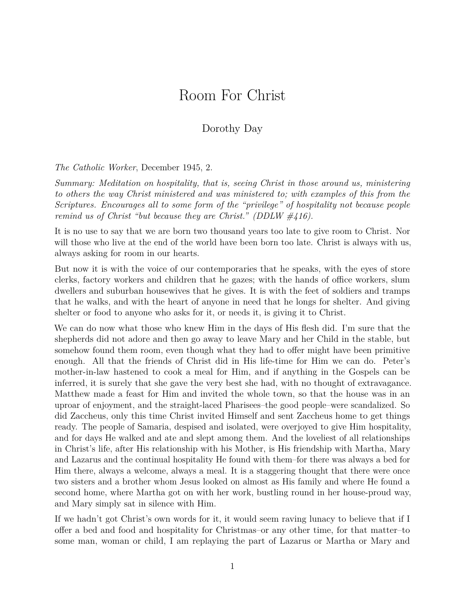## Room For Christ

## Dorothy Day

*The Catholic Worker*, December 1945, 2.

*Summary: Meditation on hospitality, that is, seeing Christ in those around us, ministering to others the way Christ ministered and was ministered to; with examples of this from the Scriptures. Encourages all to some form of the "privilege" of hospitality not because people remind us of Christ "but because they are Christ." (DDLW #416).*

It is no use to say that we are born two thousand years too late to give room to Christ. Nor will those who live at the end of the world have been born too late. Christ is always with us, always asking for room in our hearts.

But now it is with the voice of our contemporaries that he speaks, with the eyes of store clerks, factory workers and children that he gazes; with the hands of office workers, slum dwellers and suburban housewives that he gives. It is with the feet of soldiers and tramps that he walks, and with the heart of anyone in need that he longs for shelter. And giving shelter or food to anyone who asks for it, or needs it, is giving it to Christ.

We can do now what those who knew Him in the days of His flesh did. I'm sure that the shepherds did not adore and then go away to leave Mary and her Child in the stable, but somehow found them room, even though what they had to offer might have been primitive enough. All that the friends of Christ did in His life-time for Him we can do. Peter's mother-in-law hastened to cook a meal for Him, and if anything in the Gospels can be inferred, it is surely that she gave the very best she had, with no thought of extravagance. Matthew made a feast for Him and invited the whole town, so that the house was in an uproar of enjoyment, and the straight-laced Pharisees–the good people–were scandalized. So did Zaccheus, only this time Christ invited Himself and sent Zaccheus home to get things ready. The people of Samaria, despised and isolated, were overjoyed to give Him hospitality, and for days He walked and ate and slept among them. And the loveliest of all relationships in Christ's life, after His relationship with his Mother, is His friendship with Martha, Mary and Lazarus and the continual hospitality He found with them–for there was always a bed for Him there, always a welcome, always a meal. It is a staggering thought that there were once two sisters and a brother whom Jesus looked on almost as His family and where He found a second home, where Martha got on with her work, bustling round in her house-proud way, and Mary simply sat in silence with Him.

If we hadn't got Christ's own words for it, it would seem raving lunacy to believe that if I offer a bed and food and hospitality for Christmas–or any other time, for that matter–to some man, woman or child, I am replaying the part of Lazarus or Martha or Mary and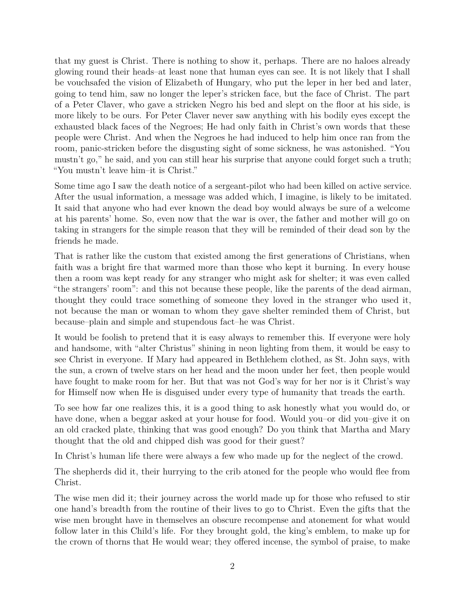that my guest is Christ. There is nothing to show it, perhaps. There are no haloes already glowing round their heads–at least none that human eyes can see. It is not likely that I shall be vouchsafed the vision of Elizabeth of Hungary, who put the leper in her bed and later, going to tend him, saw no longer the leper's stricken face, but the face of Christ. The part of a Peter Claver, who gave a stricken Negro his bed and slept on the floor at his side, is more likely to be ours. For Peter Claver never saw anything with his bodily eyes except the exhausted black faces of the Negroes; He had only faith in Christ's own words that these people were Christ. And when the Negroes he had induced to help him once ran from the room, panic-stricken before the disgusting sight of some sickness, he was astonished. "You mustn't go," he said, and you can still hear his surprise that anyone could forget such a truth; "You mustn't leave him–it is Christ."

Some time ago I saw the death notice of a sergeant-pilot who had been killed on active service. After the usual information, a message was added which, I imagine, is likely to be imitated. It said that anyone who had ever known the dead boy would always be sure of a welcome at his parents' home. So, even now that the war is over, the father and mother will go on taking in strangers for the simple reason that they will be reminded of their dead son by the friends he made.

That is rather like the custom that existed among the first generations of Christians, when faith was a bright fire that warmed more than those who kept it burning. In every house then a room was kept ready for any stranger who might ask for shelter; it was even called "the strangers' room": and this not because these people, like the parents of the dead airman, thought they could trace something of someone they loved in the stranger who used it, not because the man or woman to whom they gave shelter reminded them of Christ, but because–plain and simple and stupendous fact–he was Christ.

It would be foolish to pretend that it is easy always to remember this. If everyone were holy and handsome, with "alter Christus" shining in neon lighting from them, it would be easy to see Christ in everyone. If Mary had appeared in Bethlehem clothed, as St. John says, with the sun, a crown of twelve stars on her head and the moon under her feet, then people would have fought to make room for her. But that was not God's way for her nor is it Christ's way for Himself now when He is disguised under every type of humanity that treads the earth.

To see how far one realizes this, it is a good thing to ask honestly what you would do, or have done, when a beggar asked at your house for food. Would you–or did you–give it on an old cracked plate, thinking that was good enough? Do you think that Martha and Mary thought that the old and chipped dish was good for their guest?

In Christ's human life there were always a few who made up for the neglect of the crowd.

The shepherds did it, their hurrying to the crib atoned for the people who would flee from Christ.

The wise men did it; their journey across the world made up for those who refused to stir one hand's breadth from the routine of their lives to go to Christ. Even the gifts that the wise men brought have in themselves an obscure recompense and atonement for what would follow later in this Child's life. For they brought gold, the king's emblem, to make up for the crown of thorns that He would wear; they offered incense, the symbol of praise, to make